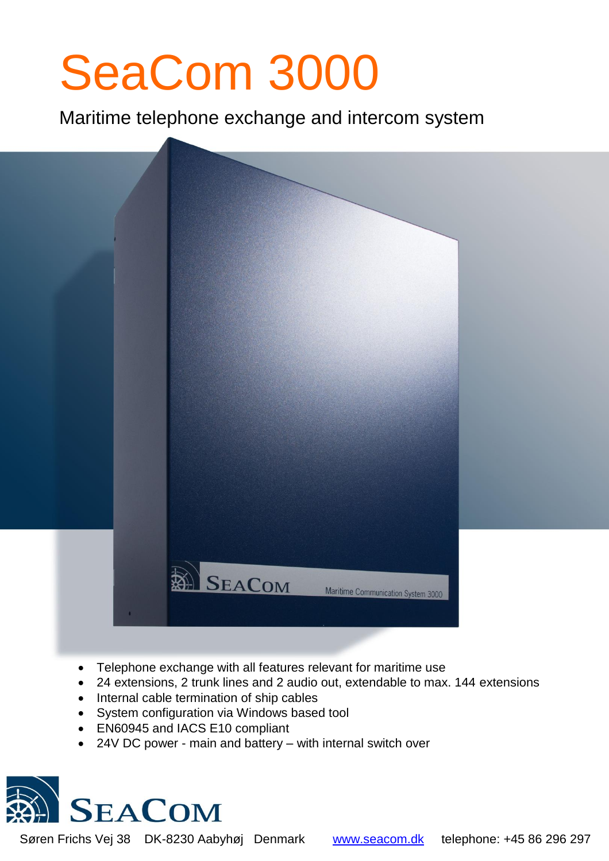# SeaCom 3000

l

Maritime telephone exchange and intercom system



- Telephone exchange with all features relevant for maritime use
- 24 extensions, 2 trunk lines and 2 audio out, extendable to max. 144 extensions
- Internal cable termination of ship cables
- System configuration via Windows based tool
- EN60945 and IACS E10 compliant
- 24V DC power main and battery with internal switch over



Søren Frichs Vej 38 DK-8230 Aabyhøj Denmark [www.seacom.dk](http://www.seacom.dk/) telephone: +45 86 296 297